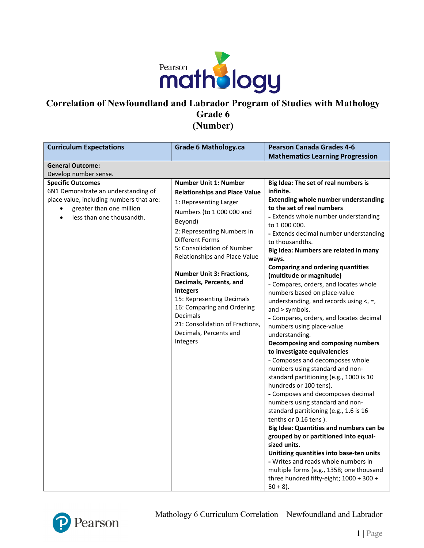

#### **Correlation of Newfoundland and Labrador Program of Studies with Mathology Grade 6 (Number)**

| <b>Curriculum Expectations</b>                                                                                                                                       | <b>Grade 6 Mathology.ca</b>                                                                                                                                                                                                                                                                                                                                                                                                                                                                     | <b>Pearson Canada Grades 4-6</b>                                                                                                                                                                                                                                                                                                                                                                                                                                                                                                                                                                                                                                                                                                                                                                                                                                                                                                                                                                                                                                                                                                                                                                                                                                           |
|----------------------------------------------------------------------------------------------------------------------------------------------------------------------|-------------------------------------------------------------------------------------------------------------------------------------------------------------------------------------------------------------------------------------------------------------------------------------------------------------------------------------------------------------------------------------------------------------------------------------------------------------------------------------------------|----------------------------------------------------------------------------------------------------------------------------------------------------------------------------------------------------------------------------------------------------------------------------------------------------------------------------------------------------------------------------------------------------------------------------------------------------------------------------------------------------------------------------------------------------------------------------------------------------------------------------------------------------------------------------------------------------------------------------------------------------------------------------------------------------------------------------------------------------------------------------------------------------------------------------------------------------------------------------------------------------------------------------------------------------------------------------------------------------------------------------------------------------------------------------------------------------------------------------------------------------------------------------|
|                                                                                                                                                                      |                                                                                                                                                                                                                                                                                                                                                                                                                                                                                                 | <b>Mathematics Learning Progression</b>                                                                                                                                                                                                                                                                                                                                                                                                                                                                                                                                                                                                                                                                                                                                                                                                                                                                                                                                                                                                                                                                                                                                                                                                                                    |
| <b>General Outcome:</b><br>Develop number sense.                                                                                                                     |                                                                                                                                                                                                                                                                                                                                                                                                                                                                                                 |                                                                                                                                                                                                                                                                                                                                                                                                                                                                                                                                                                                                                                                                                                                                                                                                                                                                                                                                                                                                                                                                                                                                                                                                                                                                            |
| <b>Specific Outcomes</b><br>6N1 Demonstrate an understanding of<br>place value, including numbers that are:<br>greater than one million<br>less than one thousandth. | <b>Number Unit 1: Number</b><br><b>Relationships and Place Value</b><br>1: Representing Larger<br>Numbers (to 1 000 000 and<br>Beyond)<br>2: Representing Numbers in<br><b>Different Forms</b><br>5: Consolidation of Number<br>Relationships and Place Value<br><b>Number Unit 3: Fractions,</b><br>Decimals, Percents, and<br><b>Integers</b><br>15: Representing Decimals<br>16: Comparing and Ordering<br>Decimals<br>21: Consolidation of Fractions,<br>Decimals, Percents and<br>Integers | Big Idea: The set of real numbers is<br>infinite.<br><b>Extending whole number understanding</b><br>to the set of real numbers<br>- Extends whole number understanding<br>to 1 000 000.<br>- Extends decimal number understanding<br>to thousandths.<br>Big Idea: Numbers are related in many<br>ways.<br><b>Comparing and ordering quantities</b><br>(multitude or magnitude)<br>- Compares, orders, and locates whole<br>numbers based on place-value<br>understanding, and records using $\lt$ , =,<br>and > symbols.<br>- Compares, orders, and locates decimal<br>numbers using place-value<br>understanding.<br>Decomposing and composing numbers<br>to investigate equivalencies<br>- Composes and decomposes whole<br>numbers using standard and non-<br>standard partitioning (e.g., 1000 is 10<br>hundreds or 100 tens).<br>- Composes and decomposes decimal<br>numbers using standard and non-<br>standard partitioning (e.g., 1.6 is 16<br>tenths or 0.16 tens).<br>Big Idea: Quantities and numbers can be<br>grouped by or partitioned into equal-<br>sized units.<br>Unitizing quantities into base-ten units<br>- Writes and reads whole numbers in<br>multiple forms (e.g., 1358; one thousand<br>three hundred fifty-eight; 1000 + 300 +<br>$50 + 8$ ). |

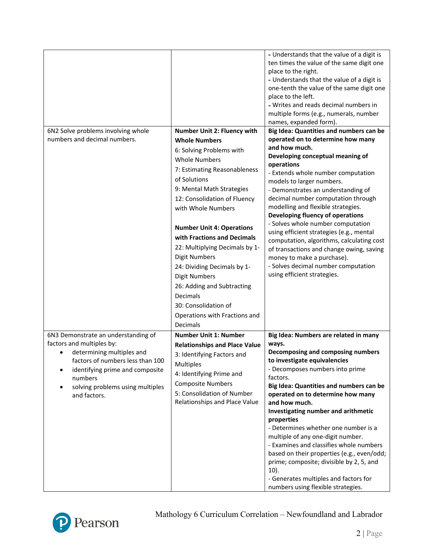|                                                                  |                                                                    | - Understands that the value of a digit is<br>ten times the value of the same digit one<br>place to the right.<br>- Understands that the value of a digit is<br>one-tenth the value of the same digit one<br>place to the left.<br>- Writes and reads decimal numbers in<br>multiple forms (e.g., numerals, number<br>names, expanded form). |
|------------------------------------------------------------------|--------------------------------------------------------------------|----------------------------------------------------------------------------------------------------------------------------------------------------------------------------------------------------------------------------------------------------------------------------------------------------------------------------------------------|
| 6N2 Solve problems involving whole                               | Number Unit 2: Fluency with                                        | Big Idea: Quantities and numbers can be                                                                                                                                                                                                                                                                                                      |
| numbers and decimal numbers.                                     | <b>Whole Numbers</b>                                               | operated on to determine how many                                                                                                                                                                                                                                                                                                            |
|                                                                  | 6: Solving Problems with                                           | and how much.                                                                                                                                                                                                                                                                                                                                |
|                                                                  | <b>Whole Numbers</b>                                               | Developing conceptual meaning of<br>operations                                                                                                                                                                                                                                                                                               |
|                                                                  | 7: Estimating Reasonableness                                       | - Extends whole number computation                                                                                                                                                                                                                                                                                                           |
|                                                                  | of Solutions                                                       | models to larger numbers.                                                                                                                                                                                                                                                                                                                    |
|                                                                  | 9: Mental Math Strategies                                          | - Demonstrates an understanding of                                                                                                                                                                                                                                                                                                           |
|                                                                  | 12: Consolidation of Fluency                                       | decimal number computation through                                                                                                                                                                                                                                                                                                           |
|                                                                  | with Whole Numbers                                                 | modelling and flexible strategies.                                                                                                                                                                                                                                                                                                           |
|                                                                  |                                                                    | Developing fluency of operations<br>- Solves whole number computation                                                                                                                                                                                                                                                                        |
|                                                                  | <b>Number Unit 4: Operations</b>                                   | using efficient strategies (e.g., mental                                                                                                                                                                                                                                                                                                     |
|                                                                  | with Fractions and Decimals                                        | computation, algorithms, calculating cost                                                                                                                                                                                                                                                                                                    |
|                                                                  | 22: Multiplying Decimals by 1-                                     | of transactions and change owing, saving                                                                                                                                                                                                                                                                                                     |
|                                                                  | <b>Digit Numbers</b>                                               | money to make a purchase).                                                                                                                                                                                                                                                                                                                   |
|                                                                  | 24: Dividing Decimals by 1-                                        | - Solves decimal number computation                                                                                                                                                                                                                                                                                                          |
|                                                                  | <b>Digit Numbers</b>                                               | using efficient strategies.                                                                                                                                                                                                                                                                                                                  |
|                                                                  | 26: Adding and Subtracting                                         |                                                                                                                                                                                                                                                                                                                                              |
|                                                                  | Decimals                                                           |                                                                                                                                                                                                                                                                                                                                              |
|                                                                  | 30: Consolidation of                                               |                                                                                                                                                                                                                                                                                                                                              |
|                                                                  | Operations with Fractions and<br>Decimals                          |                                                                                                                                                                                                                                                                                                                                              |
|                                                                  | <b>Number Unit 1: Number</b>                                       |                                                                                                                                                                                                                                                                                                                                              |
| 6N3 Demonstrate an understanding of<br>factors and multiples by: |                                                                    | Big Idea: Numbers are related in many<br>ways.                                                                                                                                                                                                                                                                                               |
| determining multiples and                                        | <b>Relationships and Place Value</b><br>3: Identifying Factors and | Decomposing and composing numbers                                                                                                                                                                                                                                                                                                            |
| factors of numbers less than 100                                 | <b>Multiples</b>                                                   | to investigate equivalencies                                                                                                                                                                                                                                                                                                                 |
| identifying prime and composite                                  | 4: Identifying Prime and                                           | - Decomposes numbers into prime                                                                                                                                                                                                                                                                                                              |
| numbers                                                          | <b>Composite Numbers</b>                                           | factors.                                                                                                                                                                                                                                                                                                                                     |
| solving problems using multiples                                 | 5: Consolidation of Number                                         | Big Idea: Quantities and numbers can be<br>operated on to determine how many                                                                                                                                                                                                                                                                 |
| and factors.                                                     | Relationships and Place Value                                      | and how much.                                                                                                                                                                                                                                                                                                                                |
|                                                                  |                                                                    | Investigating number and arithmetic                                                                                                                                                                                                                                                                                                          |
|                                                                  |                                                                    | properties                                                                                                                                                                                                                                                                                                                                   |
|                                                                  |                                                                    | - Determines whether one number is a                                                                                                                                                                                                                                                                                                         |
|                                                                  |                                                                    | multiple of any one-digit number.                                                                                                                                                                                                                                                                                                            |
|                                                                  |                                                                    | - Examines and classifies whole numbers<br>based on their properties (e.g., even/odd;                                                                                                                                                                                                                                                        |
|                                                                  |                                                                    | prime; composite; divisible by 2, 5, and                                                                                                                                                                                                                                                                                                     |
|                                                                  |                                                                    | $10$ ).                                                                                                                                                                                                                                                                                                                                      |
|                                                                  |                                                                    | - Generates multiples and factors for                                                                                                                                                                                                                                                                                                        |
|                                                                  |                                                                    | numbers using flexible strategies.                                                                                                                                                                                                                                                                                                           |

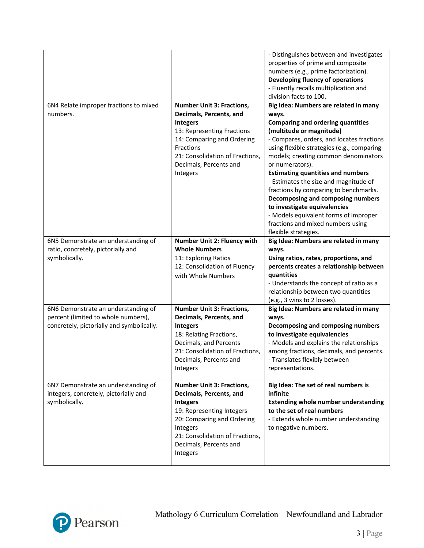|                                                                                                                         |                                                                                                                                                                                                                                         | - Distinguishes between and investigates<br>properties of prime and composite<br>numbers (e.g., prime factorization).<br>Developing fluency of operations<br>- Fluently recalls multiplication and<br>division facts to 100.                                                                                                                                                                                                                                                                                                                                                          |
|-------------------------------------------------------------------------------------------------------------------------|-----------------------------------------------------------------------------------------------------------------------------------------------------------------------------------------------------------------------------------------|---------------------------------------------------------------------------------------------------------------------------------------------------------------------------------------------------------------------------------------------------------------------------------------------------------------------------------------------------------------------------------------------------------------------------------------------------------------------------------------------------------------------------------------------------------------------------------------|
| 6N4 Relate improper fractions to mixed<br>numbers.                                                                      | <b>Number Unit 3: Fractions,</b><br>Decimals, Percents, and<br><b>Integers</b><br>13: Representing Fractions<br>14: Comparing and Ordering<br><b>Fractions</b><br>21: Consolidation of Fractions,<br>Decimals, Percents and<br>Integers | Big Idea: Numbers are related in many<br>ways.<br><b>Comparing and ordering quantities</b><br>(multitude or magnitude)<br>- Compares, orders, and locates fractions<br>using flexible strategies (e.g., comparing<br>models; creating common denominators<br>or numerators).<br><b>Estimating quantities and numbers</b><br>- Estimates the size and magnitude of<br>fractions by comparing to benchmarks.<br>Decomposing and composing numbers<br>to investigate equivalencies<br>- Models equivalent forms of improper<br>fractions and mixed numbers using<br>flexible strategies. |
| 6N5 Demonstrate an understanding of<br>ratio, concretely, pictorially and<br>symbolically.                              | <b>Number Unit 2: Fluency with</b><br><b>Whole Numbers</b><br>11: Exploring Ratios<br>12: Consolidation of Fluency<br>with Whole Numbers                                                                                                | Big Idea: Numbers are related in many<br>ways.<br>Using ratios, rates, proportions, and<br>percents creates a relationship between<br>quantities<br>- Understands the concept of ratio as a<br>relationship between two quantities<br>(e.g., 3 wins to 2 losses).                                                                                                                                                                                                                                                                                                                     |
| 6N6 Demonstrate an understanding of<br>percent (limited to whole numbers),<br>concretely, pictorially and symbolically. | <b>Number Unit 3: Fractions,</b><br>Decimals, Percents, and<br><b>Integers</b><br>18: Relating Fractions,<br>Decimals, and Percents<br>21: Consolidation of Fractions,<br>Decimals, Percents and<br>Integers                            | Big Idea: Numbers are related in many<br>ways.<br>Decomposing and composing numbers<br>to investigate equivalencies<br>- Models and explains the relationships<br>among fractions, decimals, and percents.<br>- Translates flexibly between<br>representations.                                                                                                                                                                                                                                                                                                                       |
| 6N7 Demonstrate an understanding of<br>integers, concretely, pictorially and<br>symbolically.                           | <b>Number Unit 3: Fractions,</b><br>Decimals, Percents, and<br><b>Integers</b><br>19: Representing Integers<br>20: Comparing and Ordering<br>Integers<br>21: Consolidation of Fractions,<br>Decimals, Percents and<br>Integers          | Big Idea: The set of real numbers is<br>infinite<br><b>Extending whole number understanding</b><br>to the set of real numbers<br>- Extends whole number understanding<br>to negative numbers.                                                                                                                                                                                                                                                                                                                                                                                         |

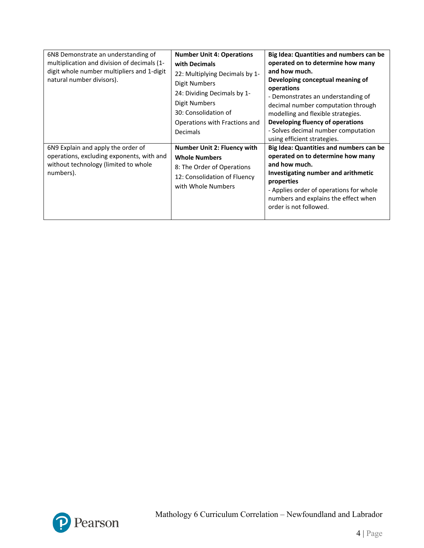| 6N8 Demonstrate an understanding of<br>multiplication and division of decimals (1-<br>digit whole number multipliers and 1-digit<br>natural number divisors). | <b>Number Unit 4: Operations</b><br>with Decimals<br>22: Multiplying Decimals by 1-<br>Digit Numbers<br>24: Dividing Decimals by 1-<br>Digit Numbers<br>30: Consolidation of<br>Operations with Fractions and<br>Decimals | Big Idea: Quantities and numbers can be<br>operated on to determine how many<br>and how much.<br>Developing conceptual meaning of<br>operations<br>- Demonstrates an understanding of<br>decimal number computation through<br>modelling and flexible strategies.<br>Developing fluency of operations<br>- Solves decimal number computation<br>using efficient strategies. |
|---------------------------------------------------------------------------------------------------------------------------------------------------------------|---------------------------------------------------------------------------------------------------------------------------------------------------------------------------------------------------------------------------|-----------------------------------------------------------------------------------------------------------------------------------------------------------------------------------------------------------------------------------------------------------------------------------------------------------------------------------------------------------------------------|
| 6N9 Explain and apply the order of<br>operations, excluding exponents, with and<br>without technology (limited to whole<br>numbers).                          | Number Unit 2: Fluency with<br><b>Whole Numbers</b><br>8: The Order of Operations<br>12: Consolidation of Fluency<br>with Whole Numbers                                                                                   | Big Idea: Quantities and numbers can be<br>operated on to determine how many<br>and how much.<br>Investigating number and arithmetic<br>properties<br>- Applies order of operations for whole<br>numbers and explains the effect when<br>order is not followed.                                                                                                             |

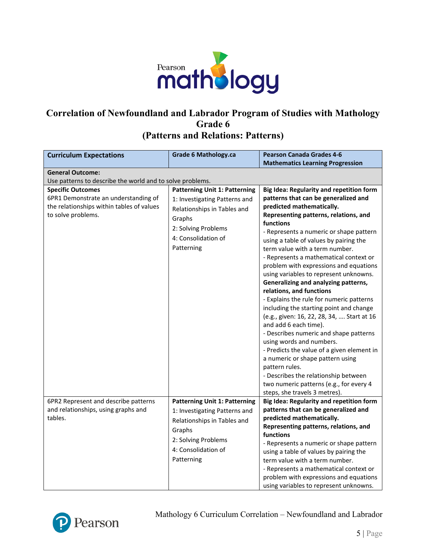

#### **Correlation of Newfoundland and Labrador Program of Studies with Mathology Grade 6 (Patterns and Relations: Patterns)**

**Curriculum Expectations Grade 6 Mathology.ca Pearson Canada Grades 4-6 Mathematics Learning Progression General Outcome:** Use patterns to describe the world and to solve problems. **Specific Outcomes** 6PR1 Demonstrate an understanding of the relationships within tables of values to solve problems. **Patterning Unit 1: Patterning** 1: Investigating Patterns and Relationships in Tables and Graphs 2: Solving Problems 4: Consolidation of Patterning **Big Idea: Regularity and repetition form patterns that can be generalized and predicted mathematically. Representing patterns, relations, and functions** - Represents a numeric or shape pattern using a table of values by pairing the term value with a term number. - Represents a mathematical context or problem with expressions and equations using variables to represent unknowns. **Generalizing and analyzing patterns, relations, and functions** - Explains the rule for numeric patterns including the starting point and change (e.g., given: 16, 22, 28, 34, …. Start at 16 and add 6 each time). - Describes numeric and shape patterns using words and numbers. - Predicts the value of a given element in a numeric or shape pattern using pattern rules. - Describes the relationship between two numeric patterns (e.g., for every 4 steps, she travels 3 metres). 6PR2 Represent and describe patterns and relationships, using graphs and tables. **Patterning Unit 1: Patterning** 1: Investigating Patterns and Relationships in Tables and Graphs 2: Solving Problems 4: Consolidation of Patterning **Big Idea: Regularity and repetition form patterns that can be generalized and predicted mathematically. Representing patterns, relations, and functions** - Represents a numeric or shape pattern using a table of values by pairing the term value with a term number. - Represents a mathematical context or problem with expressions and equations using variables to represent unknowns.

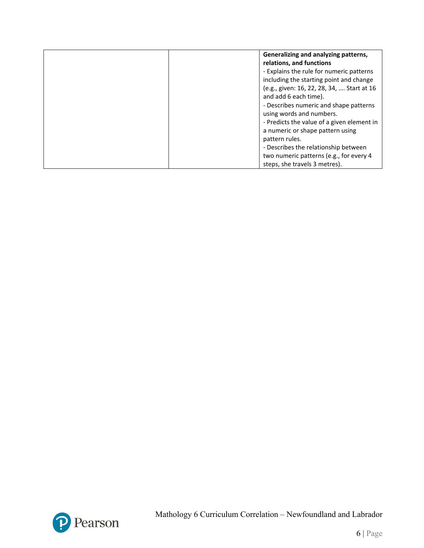| Generalizing and analyzing patterns,<br>relations, and functions                                                 |
|------------------------------------------------------------------------------------------------------------------|
| - Explains the rule for numeric patterns<br>including the starting point and change                              |
| (e.g., given: 16, 22, 28, 34,  Start at 16<br>and add 6 each time).                                              |
| - Describes numeric and shape patterns<br>using words and numbers.                                               |
| - Predicts the value of a given element in<br>a numeric or shape pattern using<br>pattern rules.                 |
| - Describes the relationship between<br>two numeric patterns (e.g., for every 4<br>steps, she travels 3 metres). |

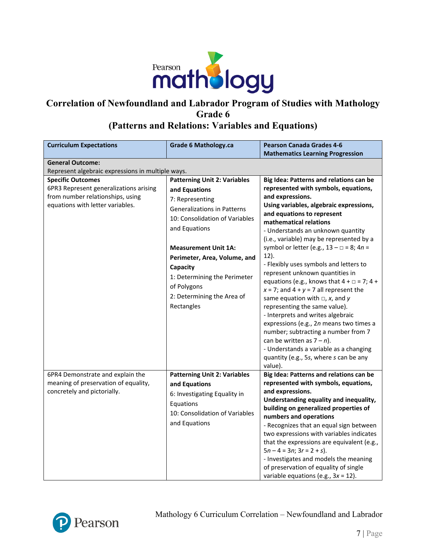

# **Correlation of Newfoundland and Labrador Program of Studies with Mathology Grade 6**

## **(Patterns and Relations: Variables and Equations)**

| <b>Curriculum Expectations</b>                                      | <b>Grade 6 Mathology.ca</b>         | <b>Pearson Canada Grades 4-6</b>                         |
|---------------------------------------------------------------------|-------------------------------------|----------------------------------------------------------|
|                                                                     |                                     | <b>Mathematics Learning Progression</b>                  |
| <b>General Outcome:</b>                                             |                                     |                                                          |
| Represent algebraic expressions in multiple ways.                   |                                     |                                                          |
| <b>Specific Outcomes</b>                                            | <b>Patterning Unit 2: Variables</b> | Big Idea: Patterns and relations can be                  |
| 6PR3 Represent generalizations arising                              | and Equations                       | represented with symbols, equations,                     |
| from number relationships, using                                    | 7: Representing                     | and expressions.                                         |
| equations with letter variables.                                    | <b>Generalizations in Patterns</b>  | Using variables, algebraic expressions,                  |
|                                                                     | 10: Consolidation of Variables      | and equations to represent<br>mathematical relations     |
|                                                                     | and Equations                       | - Understands an unknown quantity                        |
|                                                                     |                                     | (i.e., variable) may be represented by a                 |
|                                                                     | <b>Measurement Unit 1A:</b>         | symbol or letter (e.g., $13 - \square = 8$ ; $4n =$      |
|                                                                     | Perimeter, Area, Volume, and        | $12$ ).                                                  |
|                                                                     |                                     | - Flexibly uses symbols and letters to                   |
|                                                                     | Capacity                            | represent unknown quantities in                          |
|                                                                     | 1: Determining the Perimeter        | equations (e.g., knows that $4 + \square = 7$ ; 4 +      |
|                                                                     | of Polygons                         | $x = 7$ ; and $4 + y = 7$ all represent the              |
|                                                                     | 2: Determining the Area of          | same equation with $\Box$ , x, and y                     |
|                                                                     | Rectangles                          | representing the same value).                            |
|                                                                     |                                     | - Interprets and writes algebraic                        |
|                                                                     |                                     | expressions (e.g., 2n means two times a                  |
|                                                                     |                                     | number; subtracting a number from 7                      |
|                                                                     |                                     | can be written as $7 - n$ ).                             |
|                                                                     |                                     | - Understands a variable as a changing                   |
|                                                                     |                                     | quantity (e.g., 5s, where s can be any                   |
|                                                                     |                                     | value).                                                  |
| 6PR4 Demonstrate and explain the                                    | <b>Patterning Unit 2: Variables</b> | Big Idea: Patterns and relations can be                  |
| meaning of preservation of equality,<br>concretely and pictorially. | and Equations                       | represented with symbols, equations,<br>and expressions. |
|                                                                     | 6: Investigating Equality in        | Understanding equality and inequality,                   |
|                                                                     | Equations                           | building on generalized properties of                    |
|                                                                     | 10: Consolidation of Variables      | numbers and operations                                   |
|                                                                     | and Equations                       | - Recognizes that an equal sign between                  |
|                                                                     |                                     | two expressions with variables indicates                 |
|                                                                     |                                     | that the expressions are equivalent (e.g.,               |
|                                                                     |                                     | $5n - 4 = 3n$ ; $3r = 2 + s$ ).                          |
|                                                                     |                                     | - Investigates and models the meaning                    |
|                                                                     |                                     | of preservation of equality of single                    |
|                                                                     |                                     | variable equations (e.g., $3x = 12$ ).                   |

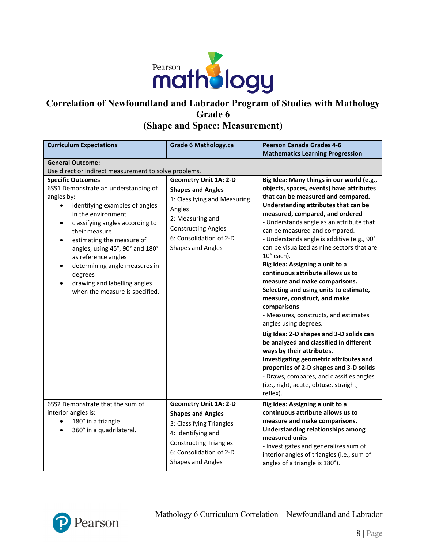

### **Correlation of Newfoundland and Labrador Program of Studies with Mathology Grade 6 (Shape and Space: Measurement)**

| <b>Curriculum Expectations</b>                                                                                                                                                                                                                                                                                                                                                                  | <b>Grade 6 Mathology.ca</b>                                                                                                                                                                          | <b>Pearson Canada Grades 4-6</b><br><b>Mathematics Learning Progression</b>                                                                                                                                                                                                                                                                                                                                                                                                                                                                                                                                                                                                                                                                                                                                                                                                                                                                                                          |
|-------------------------------------------------------------------------------------------------------------------------------------------------------------------------------------------------------------------------------------------------------------------------------------------------------------------------------------------------------------------------------------------------|------------------------------------------------------------------------------------------------------------------------------------------------------------------------------------------------------|--------------------------------------------------------------------------------------------------------------------------------------------------------------------------------------------------------------------------------------------------------------------------------------------------------------------------------------------------------------------------------------------------------------------------------------------------------------------------------------------------------------------------------------------------------------------------------------------------------------------------------------------------------------------------------------------------------------------------------------------------------------------------------------------------------------------------------------------------------------------------------------------------------------------------------------------------------------------------------------|
| <b>General Outcome:</b>                                                                                                                                                                                                                                                                                                                                                                         |                                                                                                                                                                                                      |                                                                                                                                                                                                                                                                                                                                                                                                                                                                                                                                                                                                                                                                                                                                                                                                                                                                                                                                                                                      |
| Use direct or indirect measurement to solve problems.                                                                                                                                                                                                                                                                                                                                           |                                                                                                                                                                                                      |                                                                                                                                                                                                                                                                                                                                                                                                                                                                                                                                                                                                                                                                                                                                                                                                                                                                                                                                                                                      |
| <b>Specific Outcomes</b><br>6SS1 Demonstrate an understanding of<br>angles by:<br>identifying examples of angles<br>in the environment<br>classifying angles according to<br>their measure<br>estimating the measure of<br>angles, using 45°, 90° and 180°<br>as reference angles<br>determining angle measures in<br>degrees<br>drawing and labelling angles<br>when the measure is specified. | <b>Geometry Unit 1A: 2-D</b><br><b>Shapes and Angles</b><br>1: Classifying and Measuring<br>Angles<br>2: Measuring and<br><b>Constructing Angles</b><br>6: Consolidation of 2-D<br>Shapes and Angles | Big Idea: Many things in our world (e.g.,<br>objects, spaces, events) have attributes<br>that can be measured and compared.<br>Understanding attributes that can be<br>measured, compared, and ordered<br>- Understands angle as an attribute that<br>can be measured and compared.<br>- Understands angle is additive (e.g., 90°<br>can be visualized as nine sectors that are<br>$10^{\circ}$ each).<br>Big Idea: Assigning a unit to a<br>continuous attribute allows us to<br>measure and make comparisons.<br>Selecting and using units to estimate,<br>measure, construct, and make<br>comparisons<br>- Measures, constructs, and estimates<br>angles using degrees.<br>Big Idea: 2-D shapes and 3-D solids can<br>be analyzed and classified in different<br>ways by their attributes.<br>Investigating geometric attributes and<br>properties of 2-D shapes and 3-D solids<br>- Draws, compares, and classifies angles<br>(i.e., right, acute, obtuse, straight,<br>reflex). |
| 6SS2 Demonstrate that the sum of<br>interior angles is:<br>180° in a triangle<br>$\bullet$<br>360° in a quadrilateral.                                                                                                                                                                                                                                                                          | <b>Geometry Unit 1A: 2-D</b><br><b>Shapes and Angles</b><br>3: Classifying Triangles<br>4: Identifying and<br><b>Constructing Triangles</b><br>6: Consolidation of 2-D<br><b>Shapes and Angles</b>   | Big Idea: Assigning a unit to a<br>continuous attribute allows us to<br>measure and make comparisons.<br><b>Understanding relationships among</b><br>measured units<br>- Investigates and generalizes sum of<br>interior angles of triangles (i.e., sum of<br>angles of a triangle is 180°).                                                                                                                                                                                                                                                                                                                                                                                                                                                                                                                                                                                                                                                                                         |

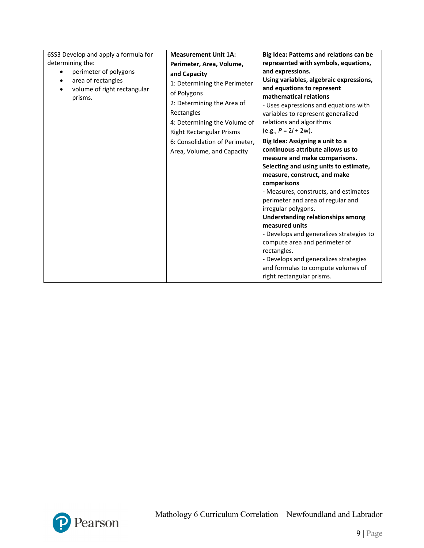| 6SS3 Develop and apply a formula for<br>determining the:<br>perimeter of polygons<br>area of rectangles<br>$\bullet$<br>volume of right rectangular<br>٠<br>prisms. | <b>Measurement Unit 1A:</b><br>Perimeter, Area, Volume,<br>and Capacity<br>1: Determining the Perimeter<br>of Polygons<br>2: Determining the Area of<br>Rectangles<br>4: Determining the Volume of<br><b>Right Rectangular Prisms</b><br>6: Consolidation of Perimeter,<br>Area, Volume, and Capacity | Big Idea: Patterns and relations can be<br>represented with symbols, equations,<br>and expressions.<br>Using variables, algebraic expressions,<br>and equations to represent<br>mathematical relations<br>- Uses expressions and equations with<br>variables to represent generalized<br>relations and algorithms<br>$(e.g., P = 2l + 2w).$<br>Big Idea: Assigning a unit to a<br>continuous attribute allows us to<br>measure and make comparisons.<br>Selecting and using units to estimate,<br>measure, construct, and make<br>comparisons<br>- Measures, constructs, and estimates<br>perimeter and area of regular and<br>irregular polygons.<br><b>Understanding relationships among</b><br>measured units<br>- Develops and generalizes strategies to<br>compute area and perimeter of<br>rectangles.<br>- Develops and generalizes strategies<br>and formulas to compute volumes of<br>right rectangular prisms. |
|---------------------------------------------------------------------------------------------------------------------------------------------------------------------|-------------------------------------------------------------------------------------------------------------------------------------------------------------------------------------------------------------------------------------------------------------------------------------------------------|--------------------------------------------------------------------------------------------------------------------------------------------------------------------------------------------------------------------------------------------------------------------------------------------------------------------------------------------------------------------------------------------------------------------------------------------------------------------------------------------------------------------------------------------------------------------------------------------------------------------------------------------------------------------------------------------------------------------------------------------------------------------------------------------------------------------------------------------------------------------------------------------------------------------------|
|---------------------------------------------------------------------------------------------------------------------------------------------------------------------|-------------------------------------------------------------------------------------------------------------------------------------------------------------------------------------------------------------------------------------------------------------------------------------------------------|--------------------------------------------------------------------------------------------------------------------------------------------------------------------------------------------------------------------------------------------------------------------------------------------------------------------------------------------------------------------------------------------------------------------------------------------------------------------------------------------------------------------------------------------------------------------------------------------------------------------------------------------------------------------------------------------------------------------------------------------------------------------------------------------------------------------------------------------------------------------------------------------------------------------------|

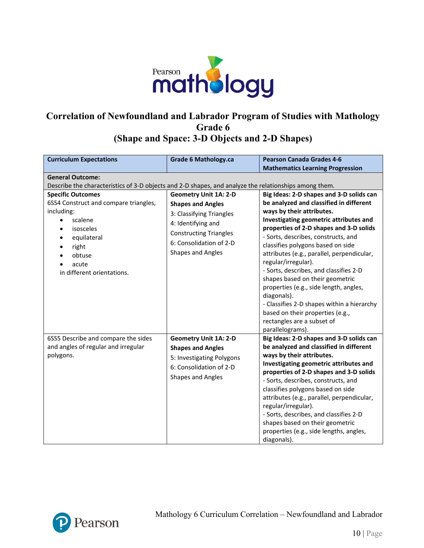

#### **Correlation of Newfoundland and Labrador Program of Studies with Mathology Grade 6 (Shape and Space: 3-D Objects and 2-D Shapes)**

| <b>Curriculum Expectations</b>                     | <b>Grade 6 Mathology.ca</b>                                                                           | <b>Pearson Canada Grades 4-6</b>                                                  |  |  |
|----------------------------------------------------|-------------------------------------------------------------------------------------------------------|-----------------------------------------------------------------------------------|--|--|
|                                                    |                                                                                                       | <b>Mathematics Learning Progression</b>                                           |  |  |
| <b>General Outcome:</b>                            |                                                                                                       |                                                                                   |  |  |
|                                                    | Describe the characteristics of 3-D objects and 2-D shapes, and analyze the relationships among them. |                                                                                   |  |  |
| <b>Specific Outcomes</b>                           | <b>Geometry Unit 1A: 2-D</b>                                                                          | Big Ideas: 2-D shapes and 3-D solids can                                          |  |  |
| 6SS4 Construct and compare triangles,              | <b>Shapes and Angles</b>                                                                              | be analyzed and classified in different                                           |  |  |
| including:                                         | 3: Classifying Triangles                                                                              | ways by their attributes.                                                         |  |  |
| scalene                                            | 4: Identifying and                                                                                    | Investigating geometric attributes and<br>properties of 2-D shapes and 3-D solids |  |  |
| isosceles<br>$\bullet$<br>equilateral<br>$\bullet$ | <b>Constructing Triangles</b>                                                                         | - Sorts, describes, constructs, and                                               |  |  |
| right                                              | 6: Consolidation of 2-D                                                                               | classifies polygons based on side                                                 |  |  |
| obtuse                                             | Shapes and Angles                                                                                     | attributes (e.g., parallel, perpendicular,                                        |  |  |
| acute<br>$\bullet$                                 |                                                                                                       | regular/irregular).                                                               |  |  |
| in different orientations.                         |                                                                                                       | - Sorts, describes, and classifies 2-D                                            |  |  |
|                                                    |                                                                                                       | shapes based on their geometric                                                   |  |  |
|                                                    |                                                                                                       | properties (e.g., side length, angles,                                            |  |  |
|                                                    |                                                                                                       | diagonals).                                                                       |  |  |
|                                                    |                                                                                                       | - Classifies 2-D shapes within a hierarchy<br>based on their properties (e.g.,    |  |  |
|                                                    |                                                                                                       | rectangles are a subset of                                                        |  |  |
|                                                    |                                                                                                       | parallelograms).                                                                  |  |  |
| 6SS5 Describe and compare the sides                | <b>Geometry Unit 1A: 2-D</b>                                                                          | Big Ideas: 2-D shapes and 3-D solids can                                          |  |  |
| and angles of regular and irregular                | <b>Shapes and Angles</b>                                                                              | be analyzed and classified in different                                           |  |  |
| polygons.                                          | 5: Investigating Polygons                                                                             | ways by their attributes.                                                         |  |  |
|                                                    | 6: Consolidation of 2-D                                                                               | Investigating geometric attributes and                                            |  |  |
|                                                    | Shapes and Angles                                                                                     | properties of 2-D shapes and 3-D solids                                           |  |  |
|                                                    |                                                                                                       | - Sorts, describes, constructs, and                                               |  |  |
|                                                    |                                                                                                       | classifies polygons based on side                                                 |  |  |
|                                                    |                                                                                                       | attributes (e.g., parallel, perpendicular,<br>regular/irregular).                 |  |  |
|                                                    |                                                                                                       | - Sorts, describes, and classifies 2-D                                            |  |  |
|                                                    |                                                                                                       | shapes based on their geometric                                                   |  |  |
|                                                    |                                                                                                       | properties (e.g., side lengths, angles,                                           |  |  |
|                                                    |                                                                                                       | diagonals).                                                                       |  |  |

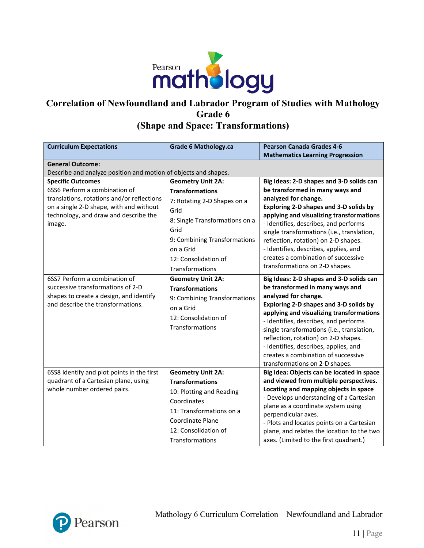

#### **Correlation of Newfoundland and Labrador Program of Studies with Mathology Grade 6 (Shape and Space: Transformations)**

| <b>Curriculum Expectations</b>                                                                                                                                                                        | <b>Grade 6 Mathology.ca</b>                                                                                                                                                                              | <b>Pearson Canada Grades 4-6</b><br><b>Mathematics Learning Progression</b>                                                                                                                                                                                                                                                                                                                                                                                                  |  |
|-------------------------------------------------------------------------------------------------------------------------------------------------------------------------------------------------------|----------------------------------------------------------------------------------------------------------------------------------------------------------------------------------------------------------|------------------------------------------------------------------------------------------------------------------------------------------------------------------------------------------------------------------------------------------------------------------------------------------------------------------------------------------------------------------------------------------------------------------------------------------------------------------------------|--|
| <b>General Outcome:</b><br>Describe and analyze position and motion of objects and shapes.                                                                                                            |                                                                                                                                                                                                          |                                                                                                                                                                                                                                                                                                                                                                                                                                                                              |  |
| <b>Specific Outcomes</b><br>6SS6 Perform a combination of<br>translations, rotations and/or reflections<br>on a single 2-D shape, with and without<br>technology, and draw and describe the<br>image. | <b>Geometry Unit 2A:</b><br><b>Transformations</b><br>7: Rotating 2-D Shapes on a<br>Grid<br>8: Single Transformations on a<br>Grid<br>9: Combining Transformations<br>on a Grid<br>12: Consolidation of | Big Ideas: 2-D shapes and 3-D solids can<br>be transformed in many ways and<br>analyzed for change.<br>Exploring 2-D shapes and 3-D solids by<br>applying and visualizing transformations<br>- Identifies, describes, and performs<br>single transformations (i.e., translation,<br>reflection, rotation) on 2-D shapes.<br>- Identifies, describes, applies, and<br>creates a combination of successive                                                                     |  |
| 6SS7 Perform a combination of<br>successive transformations of 2-D<br>shapes to create a design, and identify<br>and describe the transformations.                                                    | Transformations<br><b>Geometry Unit 2A:</b><br><b>Transformations</b><br>9: Combining Transformations<br>on a Grid<br>12: Consolidation of<br>Transformations                                            | transformations on 2-D shapes.<br>Big Ideas: 2-D shapes and 3-D solids can<br>be transformed in many ways and<br>analyzed for change.<br>Exploring 2-D shapes and 3-D solids by<br>applying and visualizing transformations<br>- Identifies, describes, and performs<br>single transformations (i.e., translation,<br>reflection, rotation) on 2-D shapes.<br>- Identifies, describes, applies, and<br>creates a combination of successive<br>transformations on 2-D shapes. |  |
| 6SS8 Identify and plot points in the first<br>quadrant of a Cartesian plane, using<br>whole number ordered pairs.                                                                                     | <b>Geometry Unit 2A:</b><br><b>Transformations</b><br>10: Plotting and Reading<br>Coordinates<br>11: Transformations on a<br>Coordinate Plane<br>12: Consolidation of<br>Transformations                 | Big Idea: Objects can be located in space<br>and viewed from multiple perspectives.<br>Locating and mapping objects in space<br>- Develops understanding of a Cartesian<br>plane as a coordinate system using<br>perpendicular axes.<br>- Plots and locates points on a Cartesian<br>plane, and relates the location to the two<br>axes. (Limited to the first quadrant.)                                                                                                    |  |

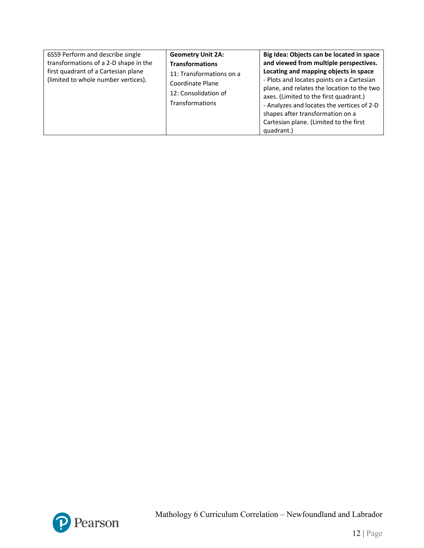| 6SS9 Perform and describe single<br>transformations of a 2-D shape in the<br>first quadrant of a Cartesian plane<br>(limited to whole number vertices). | <b>Geometry Unit 2A:</b><br><b>Transformations</b><br>11: Transformations on a<br>Coordinate Plane<br>12: Consolidation of<br><b>Transformations</b> | Big Idea: Objects can be located in space<br>and viewed from multiple perspectives.<br>Locating and mapping objects in space<br>- Plots and locates points on a Cartesian<br>plane, and relates the location to the two<br>axes. (Limited to the first quadrant.)<br>- Analyzes and locates the vertices of 2-D<br>shapes after transformation on a<br>Cartesian plane. (Limited to the first<br>quadrant.) |
|---------------------------------------------------------------------------------------------------------------------------------------------------------|------------------------------------------------------------------------------------------------------------------------------------------------------|-------------------------------------------------------------------------------------------------------------------------------------------------------------------------------------------------------------------------------------------------------------------------------------------------------------------------------------------------------------------------------------------------------------|
|---------------------------------------------------------------------------------------------------------------------------------------------------------|------------------------------------------------------------------------------------------------------------------------------------------------------|-------------------------------------------------------------------------------------------------------------------------------------------------------------------------------------------------------------------------------------------------------------------------------------------------------------------------------------------------------------------------------------------------------------|

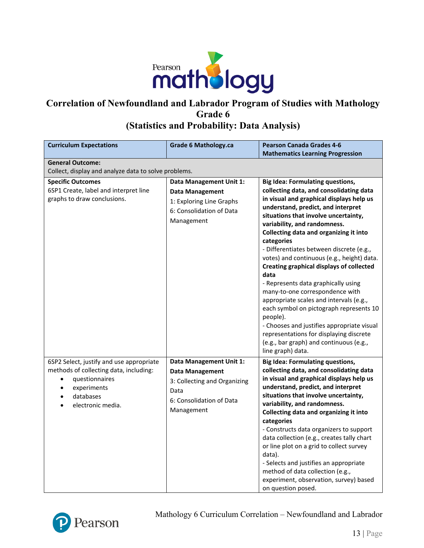

### **Correlation of Newfoundland and Labrador Program of Studies with Mathology Grade 6 (Statistics and Probability: Data Analysis)**

| <b>Curriculum Expectations</b>                                                                                                                                                               | <b>Grade 6 Mathology.ca</b>                                                                                                         | <b>Pearson Canada Grades 4-6</b><br><b>Mathematics Learning Progression</b>                                                                                                                                                                                                                                                                                                                                                                                                                                                                                                                                                                                                                                                                                                                    |  |
|----------------------------------------------------------------------------------------------------------------------------------------------------------------------------------------------|-------------------------------------------------------------------------------------------------------------------------------------|------------------------------------------------------------------------------------------------------------------------------------------------------------------------------------------------------------------------------------------------------------------------------------------------------------------------------------------------------------------------------------------------------------------------------------------------------------------------------------------------------------------------------------------------------------------------------------------------------------------------------------------------------------------------------------------------------------------------------------------------------------------------------------------------|--|
| <b>General Outcome:</b><br>Collect, display and analyze data to solve problems.                                                                                                              |                                                                                                                                     |                                                                                                                                                                                                                                                                                                                                                                                                                                                                                                                                                                                                                                                                                                                                                                                                |  |
| <b>Specific Outcomes</b><br>6SP1 Create, label and interpret line<br>graphs to draw conclusions.                                                                                             | Data Management Unit 1:<br><b>Data Management</b><br>1: Exploring Line Graphs<br>6: Consolidation of Data<br>Management             | <b>Big Idea: Formulating questions,</b><br>collecting data, and consolidating data<br>in visual and graphical displays help us<br>understand, predict, and interpret<br>situations that involve uncertainty,<br>variability, and randomness.<br>Collecting data and organizing it into<br>categories<br>- Differentiates between discrete (e.g.,<br>votes) and continuous (e.g., height) data.<br><b>Creating graphical displays of collected</b><br>data<br>- Represents data graphically using<br>many-to-one correspondence with<br>appropriate scales and intervals (e.g.,<br>each symbol on pictograph represents 10<br>people).<br>- Chooses and justifies appropriate visual<br>representations for displaying discrete<br>(e.g., bar graph) and continuous (e.g.,<br>line graph) data. |  |
| 6SP2 Select, justify and use appropriate<br>methods of collecting data, including:<br>questionnaires<br>$\bullet$<br>experiments<br>$\bullet$<br>databases<br>$\bullet$<br>electronic media. | Data Management Unit 1:<br><b>Data Management</b><br>3: Collecting and Organizing<br>Data<br>6: Consolidation of Data<br>Management | <b>Big Idea: Formulating questions,</b><br>collecting data, and consolidating data<br>in visual and graphical displays help us<br>understand, predict, and interpret<br>situations that involve uncertainty,<br>variability, and randomness.<br>Collecting data and organizing it into<br>categories<br>- Constructs data organizers to support<br>data collection (e.g., creates tally chart<br>or line plot on a grid to collect survey<br>data).<br>- Selects and justifies an appropriate<br>method of data collection (e.g.,<br>experiment, observation, survey) based<br>on question posed.                                                                                                                                                                                              |  |

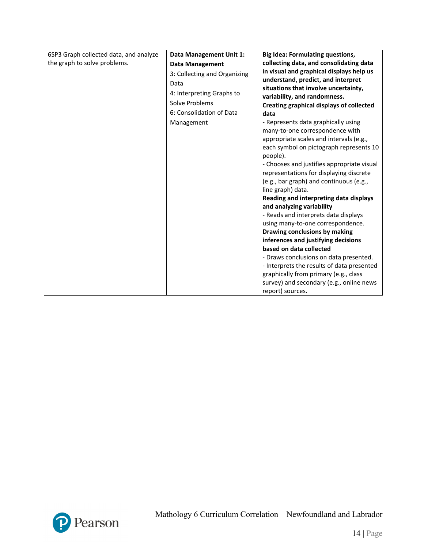| 6SP3 Graph collected data, and analyze | Data Management Unit 1:      | <b>Big Idea: Formulating questions,</b>                |
|----------------------------------------|------------------------------|--------------------------------------------------------|
| the graph to solve problems.           | <b>Data Management</b>       | collecting data, and consolidating data                |
|                                        | 3: Collecting and Organizing | in visual and graphical displays help us               |
|                                        | Data                         | understand, predict, and interpret                     |
|                                        | 4: Interpreting Graphs to    | situations that involve uncertainty,                   |
|                                        | Solve Problems               | variability, and randomness.                           |
|                                        | 6: Consolidation of Data     | Creating graphical displays of collected               |
|                                        |                              | data                                                   |
|                                        | Management                   | - Represents data graphically using                    |
|                                        |                              | many-to-one correspondence with                        |
|                                        |                              | appropriate scales and intervals (e.g.,                |
|                                        |                              | each symbol on pictograph represents 10                |
|                                        |                              | people).<br>- Chooses and justifies appropriate visual |
|                                        |                              | representations for displaying discrete                |
|                                        |                              | (e.g., bar graph) and continuous (e.g.,                |
|                                        |                              | line graph) data.                                      |
|                                        |                              | Reading and interpreting data displays                 |
|                                        |                              | and analyzing variability                              |
|                                        |                              | - Reads and interprets data displays                   |
|                                        |                              | using many-to-one correspondence.                      |
|                                        |                              | Drawing conclusions by making                          |
|                                        |                              | inferences and justifying decisions                    |
|                                        |                              | based on data collected                                |
|                                        |                              | - Draws conclusions on data presented.                 |
|                                        |                              | - Interprets the results of data presented             |
|                                        |                              | graphically from primary (e.g., class                  |
|                                        |                              | survey) and secondary (e.g., online news               |
|                                        |                              | report) sources.                                       |